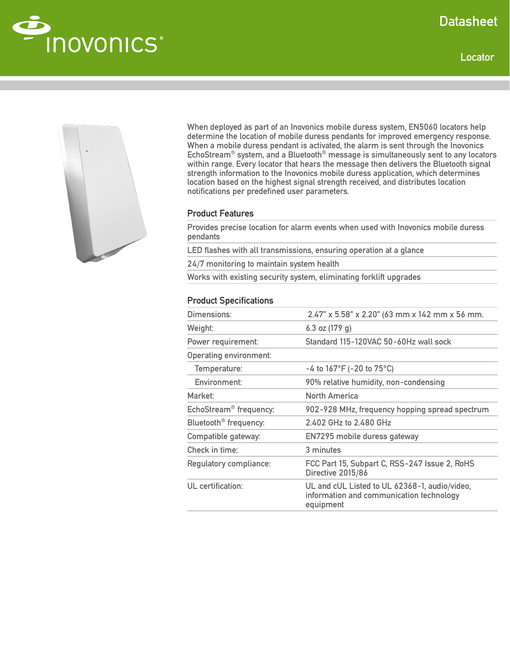

Locator





When deployed as part of an Inovonics mobile duress system, EN5060 locators help determine the location of mobile duress pendants for improved emergency response. When a mobile duress pendant is activated, the alarm is sent through the Inovonics EchoStream® system, and a Bluetooth® message is simultaneously sent to any locators within range. Every locator that hears the message then delivers the Bluetooth signal strength information to the Inovonics mobile duress application, which determines location based on the highest signal strength received, and distributes location notifications per predefined user parameters.

## Product Features

Provides precise location for alarm events when used with Inovonics mobile duress pendants

LED flashes with all transmissions, ensuring operation at a glance

24/7 monitoring to maintain system health

Works with existing security system, eliminating forklift upgrades

## Product Specifications

| Dimensions:                        | 2.47" x 5.58" x 2.20" (63 mm x 142 mm x 56 mm.                                                         |
|------------------------------------|--------------------------------------------------------------------------------------------------------|
| Weight:                            | 6.3 oz $(179 g)$                                                                                       |
| Power requirement:                 | Standard 115-120VAC 50-60Hz wall sock                                                                  |
| Operating environment:             |                                                                                                        |
| Temperature:                       | -4 to $167^{\circ}F$ (-20 to $75^{\circ}C$ )                                                           |
| Environment:                       | 90% relative humidity, non-condensing                                                                  |
| Market:                            | <b>North America</b>                                                                                   |
| EchoStream <sup>®</sup> frequency: | 902-928 MHz, frequency hopping spread spectrum                                                         |
| Bluetooth <sup>®</sup> frequency:  | 2.402 GHz to 2.480 GHz                                                                                 |
| Compatible gateway:                | EN7295 mobile duress gateway                                                                           |
| Check in time:                     | 3 minutes                                                                                              |
| Regulatory compliance:             | FCC Part 15, Subpart C, RSS-247 Issue 2, RoHS<br>Directive 2015/86                                     |
| UL certification:                  | UL and cUL Listed to UL 62368-1, audio/video,<br>information and communication technology<br>equipment |
|                                    |                                                                                                        |